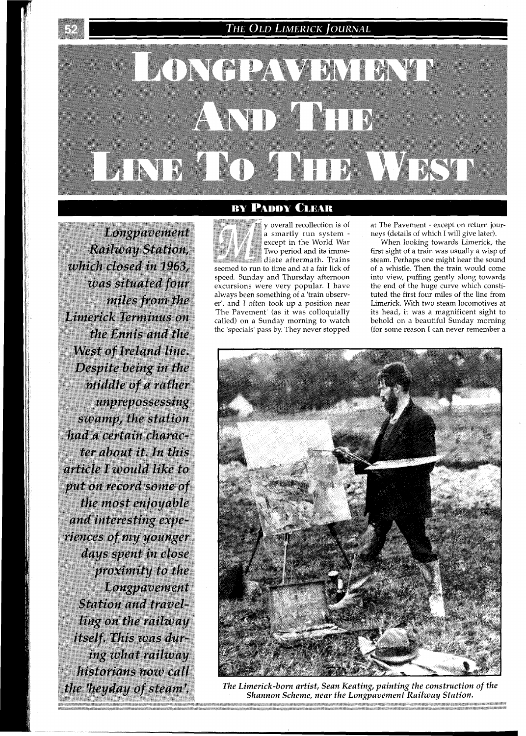## THE OLD LIMERICK JOURNAL

# LONGPAVEMENT AND THE LINE TO THE WEST

Longpavement Railway Station, which closed in 1963, was situated four miles from the Limerick Terminus on the Ennis and the West of Ireland line. Despite being in the middle of a rather unprepossessing swamp, the station had a certain character about it. In this article I would like to put on record some of the most enjoyable and interesting experiences of my younger days spent in close proximity to the Longpavement **Station and travel**ling on the railway itself. This was during what railway historians now call the heyday of steam'.

#### **BY PADDY CLEAR**

y overall recollection is of a smartly run system except in the World War Two period and its immediate aftermath. Trains seemed to run to time and at a fair lick of speed. Sunday and Thursday afternoon excursions were very popular. I have always been something of a 'train observer', and I often took up a position near 'The Pavement' (as it was colloquially called) on a Sunday morning to watch the 'specials' pass by. They never stopped

at The Pavement - except on return journeys (details of which I will give later).

When looking towards Limerick, the first sight of a train was usually a wisp of steam. Perhaps one might hear the sound of a whistle. Then the train would come into view, puffing gently along towards the end of the huge curve which constituted the first four miles of the line from Limerick. With two steam locomotives at its head, it was a magnificent sight to behold on a beautiful Sunday morning (for some reason I can never remember a



*The Limerick-born artist, Sean Keating, painting the construction of the*  Shannon Scheme, near the Longpavement Railway Station.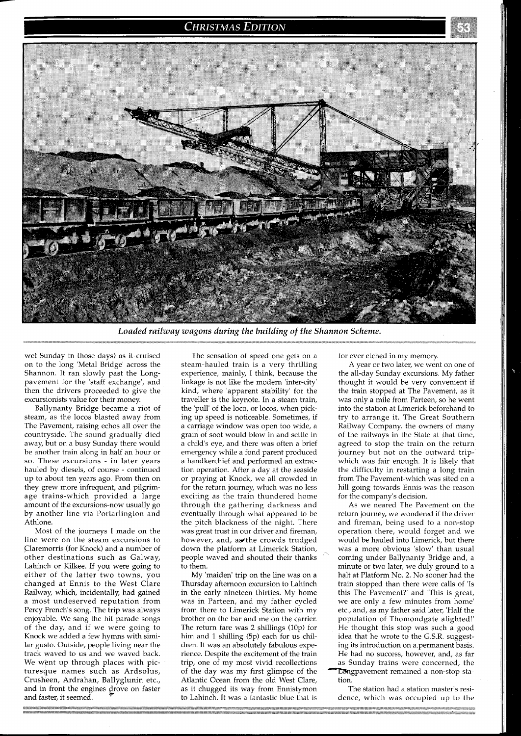### **CHRISTMAS EDITION**



*Loaded railway wagons during the building of the Shannon Scheme.* 

wet Sunday in those days) as it cruised on to the long 'Metal Bridge' across the Shannon. It ran slowly past the Longpavement for the 'staff exchange', and then the drivers proceeded to give the excursionists value for their money.

Ballynanty Bridge became a riot of steam, as the locos blasted away from The Pavement, raising echos all over the countryside. The sound gradually died away, but on a busy Sunday there would be another train along in half an hour or so. These excursions - in later years hauled by diesels, of course - continued up to about ten years ago. From then on they grew more infrequent, and pilgrimage trains-which provided a large amount of the excursions-now usually go by another line via Portarlington and Athlone.

Most of the journeys I made on the line were on the steam excursions to Claremorris (for Knock) and a number of other destinations such as Galway, Lahinch or Kilkee. If you were going to either of the latter two towns, you changed at Ennis to the West Clare Railway, which, incidentally, had gained a most undeserved reputation from Percy French's song. The trip was always enjoyable. We sang the hit parade songs of the day, and if we were going to Knock we added a few hymns with similar gusto. Outside, people living near the track waved to us and we waved back. We went up through places with picturesque names such as Ardsolus,<br>Crusheen, Ardrahan, Ballyglunin etc.,<br>and in front the engines drove on faster<br>and faster, it seemed. Crusheen, Ardrahan, Ballyglunin etc., and in front the engines drove on faster

The sensation of speed one gets on a steam-hauled train is a very thrilling experience, mainly, I think, because the linkage is not like the modern 'inter-city' kind, where 'apparent stability' for the traveller is the keynote. In a steam train, the 'pull' of the loco, or locos, when picking up speed is noticeable. Sometimes, if a carriage window was open too wide, a grain of soot would blow in and settle in a child's eye, and there was often a brief emergency while a fond parent produced a handkerchief and performed an extraction operation. After a day at the seaside or praying at Knock, we all crowded in for the return journey, which was no less exciting as the train thundered home through the gathering darkness and eventually through what appeared to be the pitch blackness of the night. There was great trust in our driver and fireman, however, and, awthe crowds trudged down the platform at Limerick Station, people waved and shouted their thanks to them.

My 'maiden' trip on the line was on a Thursday afternoon excursion to Lahinch in the early nineteen thirties. My home was in Parteen, and my father cycled from there to Limerick Station with my brother on the bar and me on the carrier. The return fare was 2 shillings (10p) for him and 1 shilling (5p) each for us children. It was an absolutely fabulous experience. Despite the excitement of the train trip, one of my most vivid recollections of the day was my first glimpse of the Atlantic Ocean from the old West Clare, as it chugged its way from Ennistymon to Lahinch. It was a fantastic blue that is

for ever etched in my memory.

A year or two later, we went on one of the all-day Sunday excursions. My father thought it would be very convenient if the train stopped at The Pavement, as it was only a mile from Parteen, so he went into the station at Limerick beforehand to try to arrange it. The Great Southern Railway Company, the owners of many of the railwavs in the State at that time. agreed to stop the train on the return journey but not on the outward tripwhich was fair enough. It is likely that the difficulty in restarting a long train from The Pavement-which was sited on a hill going towards Ennis-was the reason for the company's decision.

As we neared The Pavement on the return journey, we wondered if the driver and fireman, being used to a non-stop operation there, would forget and we would be hauled into Limerick, but there was a more obvious 'slow' than usual coming under Ballynanty Bridge and, a minute or two later, we duly ground to a halt at Platform No. 2. No sooner had the train stopped than there were calls of 'Is this The Pavement?' and 'This is great, we are only a few minutes from home' etc., and, as my father said later, 'Half the population of Thomondgate alighted!' He thought this stop was such a good idea that he wrote to the G.S.R. suggesting its introduction on a-permanent basis. He had no success, however, and, as far as Sunday trains were concerned, the Longpavement remained a non-stop station.

The station had a station master's residence, which was occupied up to the